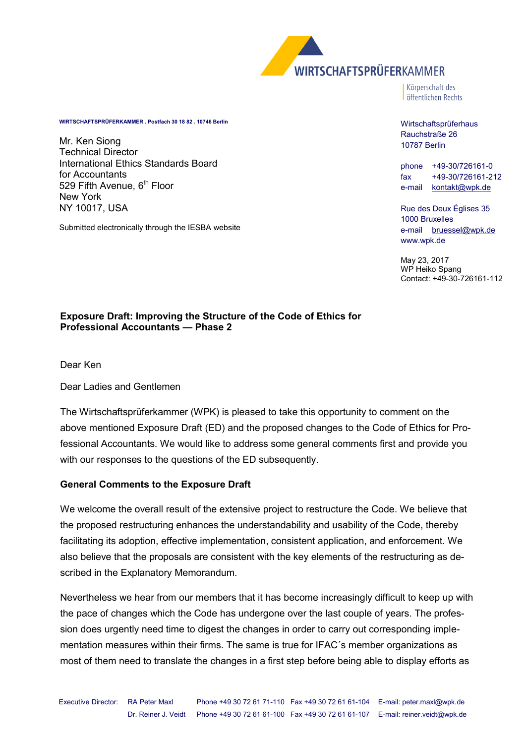

Körperschaft des öffentlichen Rechts

#### **WIRTSCHAFTSPRÜFERKAMMER . Postfach 30 18 82 . 10746 Berlin**

Mr. Ken Siong Technical Director International Ethics Standards Board for Accountants 529 Fifth Avenue, 6<sup>th</sup> Floor New York NY 10017, USA

Submitted electronically through the IESBA website

Wirtschaftsprüferhaus

Rauchstraße 26 10787 Berlin

phone +49-30/726161-0 fax +49-30/726161-212 e-mail [kontakt@wpk.de](mailto:kontakt@wpk.de)

Rue des Deux Églises 35 1000 Bruxelles e-mail [bruessel@wpk.de](mailto:bruessel@wpk.de) www.wpk.de

May 23, 2017 WP Heiko Spang Contact: +49-30-726161-112

#### **Exposure Draft: Improving the Structure of the Code of Ethics for Professional Accountants — Phase 2**

Dear Ken

Dear Ladies and Gentlemen

The Wirtschaftsprüferkammer (WPK) is pleased to take this opportunity to comment on the above mentioned Exposure Draft (ED) and the proposed changes to the Code of Ethics for Professional Accountants. We would like to address some general comments first and provide you with our responses to the questions of the ED subsequently.

#### **General Comments to the Exposure Draft**

We welcome the overall result of the extensive project to restructure the Code. We believe that the proposed restructuring enhances the understandability and usability of the Code, thereby facilitating its adoption, effective implementation, consistent application, and enforcement. We also believe that the proposals are consistent with the key elements of the restructuring as described in the Explanatory Memorandum.

Nevertheless we hear from our members that it has become increasingly difficult to keep up with the pace of changes which the Code has undergone over the last couple of years. The profession does urgently need time to digest the changes in order to carry out corresponding implementation measures within their firms. The same is true for IFAC´s member organizations as most of them need to translate the changes in a first step before being able to display efforts as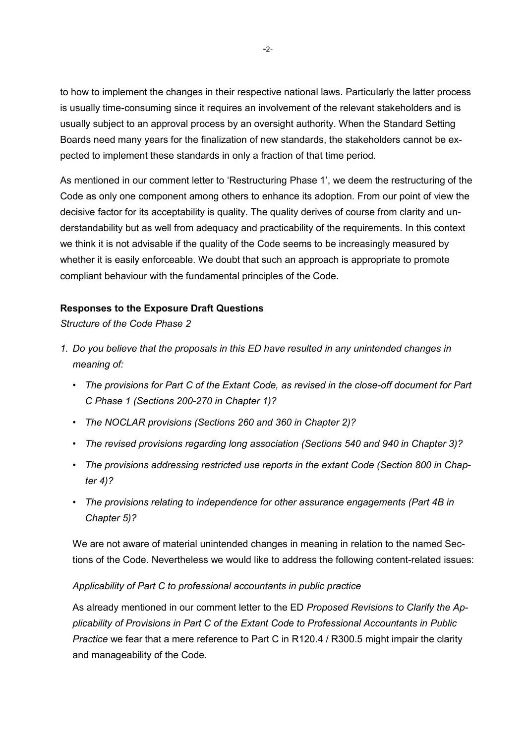to how to implement the changes in their respective national laws. Particularly the latter process is usually time-consuming since it requires an involvement of the relevant stakeholders and is usually subject to an approval process by an oversight authority. When the Standard Setting Boards need many years for the finalization of new standards, the stakeholders cannot be expected to implement these standards in only a fraction of that time period.

As mentioned in our comment letter to 'Restructuring Phase 1', we deem the restructuring of the Code as only one component among others to enhance its adoption. From our point of view the decisive factor for its acceptability is quality. The quality derives of course from clarity and understandability but as well from adequacy and practicability of the requirements. In this context we think it is not advisable if the quality of the Code seems to be increasingly measured by whether it is easily enforceable. We doubt that such an approach is appropriate to promote compliant behaviour with the fundamental principles of the Code.

# **Responses to the Exposure Draft Questions**

*Structure of the Code Phase 2* 

- *1. Do you believe that the proposals in this ED have resulted in any unintended changes in meaning of:* 
	- *The provisions for Part C of the Extant Code, as revised in the close-off document for Part C Phase 1 (Sections 200-270 in Chapter 1)?*
	- *The NOCLAR provisions (Sections 260 and 360 in Chapter 2)?*
	- *The revised provisions regarding long association (Sections 540 and 940 in Chapter 3)?*
	- *The provisions addressing restricted use reports in the extant Code (Section 800 in Chapter 4)?*
	- *The provisions relating to independence for other assurance engagements (Part 4B in Chapter 5)?*

We are not aware of material unintended changes in meaning in relation to the named Sections of the Code. Nevertheless we would like to address the following content-related issues:

# *Applicability of Part C to professional accountants in public practice*

As already mentioned in our comment letter to the ED *Proposed Revisions to Clarify the Applicability of Provisions in Part C of the Extant Code to Professional Accountants in Public Practice* we fear that a mere reference to Part C in R120.4 / R300.5 might impair the clarity and manageability of the Code.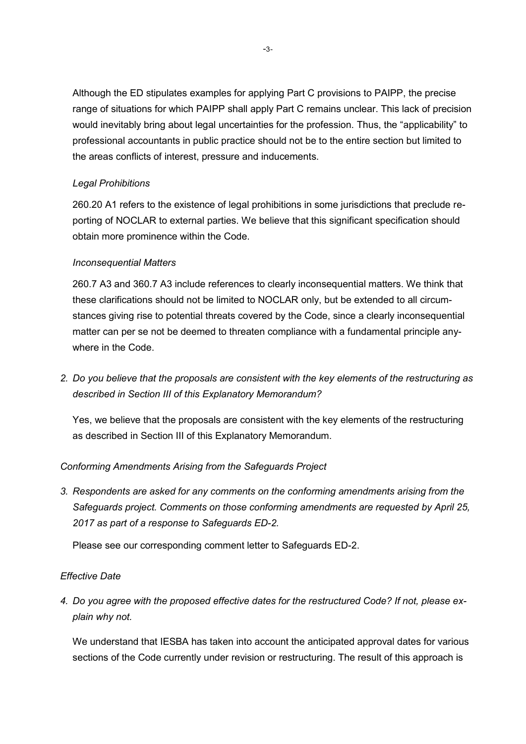Although the ED stipulates examples for applying Part C provisions to PAIPP, the precise range of situations for which PAIPP shall apply Part C remains unclear. This lack of precision would inevitably bring about legal uncertainties for the profession. Thus, the "applicability" to professional accountants in public practice should not be to the entire section but limited to the areas conflicts of interest, pressure and inducements.

# *Legal Prohibitions*

260.20 A1 refers to the existence of legal prohibitions in some jurisdictions that preclude reporting of NOCLAR to external parties. We believe that this significant specification should obtain more prominence within the Code.

# *Inconsequential Matters*

260.7 A3 and 360.7 A3 include references to clearly inconsequential matters. We think that these clarifications should not be limited to NOCLAR only, but be extended to all circumstances giving rise to potential threats covered by the Code, since a clearly inconsequential matter can per se not be deemed to threaten compliance with a fundamental principle anywhere in the Code.

*2. Do you believe that the proposals are consistent with the key elements of the restructuring as described in Section III of this Explanatory Memorandum?* 

Yes, we believe that the proposals are consistent with the key elements of the restructuring as described in Section III of this Explanatory Memorandum.

# *Conforming Amendments Arising from the Safeguards Project*

*3. Respondents are asked for any comments on the conforming amendments arising from the Safeguards project. Comments on those conforming amendments are requested by April 25, 2017 as part of a response to Safeguards ED-2.* 

Please see our corresponding comment letter to Safeguards ED-2.

### *Effective Date*

*4. Do you agree with the proposed effective dates for the restructured Code? If not, please explain why not.* 

We understand that IESBA has taken into account the anticipated approval dates for various sections of the Code currently under revision or restructuring. The result of this approach is